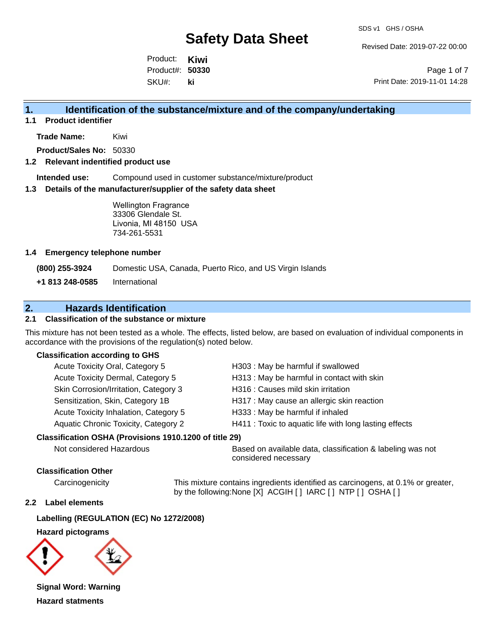Revised Date: 2019-07-22 00:00

Product: **Kiwi** SKU#: Product#: **50330 ki**

Page 1 of 7 Print Date: 2019-11-01 14:28

### **1. Identification of the substance/mixture and of the company/undertaking**

**1.1 Product identifier**

**Trade Name:** Kiwi

**Product/Sales No:** 50330

#### **1.2 Relevant indentified product use**

**Intended use:** Compound used in customer substance/mixture/product

#### **1.3 Details of the manufacturer/supplier of the safety data sheet**

Wellington Fragrance 33306 Glendale St. Livonia, MI 48150 USA 734-261-5531

#### **1.4 Emergency telephone number**

**(800) 255-3924** Domestic USA, Canada, Puerto Rico, and US Virgin Islands

**+1 813 248-0585** International

## **2. Hazards Identification**

#### **2.1 Classification of the substance or mixture**

This mixture has not been tested as a whole. The effects, listed below, are based on evaluation of individual components in accordance with the provisions of the regulation(s) noted below.

#### **Classification according to GHS**

| Acute Toxicity Oral, Category 5       | H303 : May be harmful if swallowed                     |
|---------------------------------------|--------------------------------------------------------|
| Acute Toxicity Dermal, Category 5     | H313 : May be harmful in contact with skin             |
| Skin Corrosion/Irritation, Category 3 | H316 : Causes mild skin irritation                     |
| Sensitization, Skin, Category 1B      | H317 : May cause an allergic skin reaction             |
| Acute Toxicity Inhalation, Category 5 | H333: May be harmful if inhaled                        |
| Aquatic Chronic Toxicity, Category 2  | H411 : Toxic to aquatic life with long lasting effects |
|                                       |                                                        |

#### **Classification OSHA (Provisions 1910.1200 of title 29)**

Not considered Hazardous **Based on available data, classification & labeling was not** considered necessary

#### **Classification Other**

Carcinogenicity This mixture contains ingredients identified as carcinogens, at 0.1% or greater, by the following:None [X] ACGIH [ ] IARC [ ] NTP [ ] OSHA [ ]

#### **2.2 Label elements**

#### **Labelling (REGULATION (EC) No 1272/2008)**

#### **Hazard pictograms**



**Signal Word: Warning Hazard statments**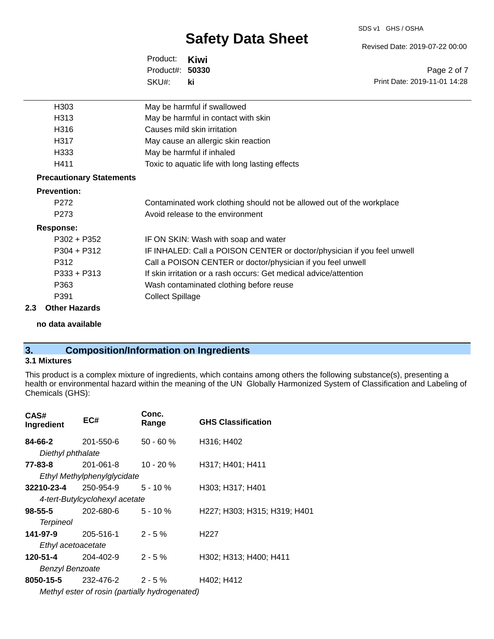#### SDS v1 GHS / OSHA

# **Safety Data Sheet**

Revised Date: 2019-07-22 00:00

Print Date: 2019-11-01 14:28

Page 2 of 7

Product: **Kiwi** SKU#: Product#: **50330 ki**

| H <sub>303</sub>                | May be harmful if swallowed                                             |
|---------------------------------|-------------------------------------------------------------------------|
| H313                            | May be harmful in contact with skin                                     |
| H316                            | Causes mild skin irritation                                             |
| H317                            | May cause an allergic skin reaction                                     |
| H333                            | May be harmful if inhaled                                               |
| H411                            | Toxic to aquatic life with long lasting effects                         |
| <b>Precautionary Statements</b> |                                                                         |
| <b>Prevention:</b>              |                                                                         |
| P <sub>272</sub>                | Contaminated work clothing should not be allowed out of the workplace   |
| P <sub>273</sub>                | Avoid release to the environment                                        |
| <b>Response:</b>                |                                                                         |
| $P302 + P352$                   | IF ON SKIN: Wash with soap and water                                    |
| $P304 + P312$                   | IF INHALED: Call a POISON CENTER or doctor/physician if you feel unwell |
| P312                            | Call a POISON CENTER or doctor/physician if you feel unwell             |
| $P333 + P313$                   | If skin irritation or a rash occurs: Get medical advice/attention       |
| P363                            | Wash contaminated clothing before reuse                                 |
| P391                            | <b>Collect Spillage</b>                                                 |
| 2.3<br><b>Other Hazards</b>     |                                                                         |

#### **no data available**

## **3. Composition/Information on Ingredients**

### **3.1 Mixtures**

This product is a complex mixture of ingredients, which contains among others the following substance(s), presenting a health or environmental hazard within the meaning of the UN Globally Harmonized System of Classification and Labeling of Chemicals (GHS):

| CAS#<br>Ingredient     | EC#                                            | Conc.<br>Range | <b>GHS Classification</b>    |
|------------------------|------------------------------------------------|----------------|------------------------------|
| 84-66-2                | 201-550-6                                      | $50 - 60%$     | H316; H402                   |
| Diethyl phthalate      |                                                |                |                              |
| 77-83-8                | 201-061-8                                      | $10 - 20 \%$   | H317; H401; H411             |
|                        | Ethyl Methylphenylglycidate                    |                |                              |
| 32210-23-4             | 250-954-9                                      | $5 - 10 \%$    | H303; H317; H401             |
|                        | 4-tert-Butylcyclohexyl acetate                 |                |                              |
| 98-55-5                | $202 - 680 - 6$ 5 - 10 %                       |                | H227; H303; H315; H319; H401 |
| <b>Terpineol</b>       |                                                |                |                              |
| 141-97-9               | 205-516-1                                      | $2 - 5%$       | H <sub>22</sub> 7            |
| Ethyl acetoacetate     |                                                |                |                              |
| 120-51-4               | 204-402-9                                      | $2 - 5%$       | H302; H313; H400; H411       |
| <b>Benzyl Benzoate</b> |                                                |                |                              |
|                        | <b>8050-15-5</b> 232-476-2                     | $2 - 5 \%$     | H402; H412                   |
|                        | Methyl ester of rosin (partially hydrogenated) |                |                              |

*Methyl ester of rosin (partially hydrogenated)*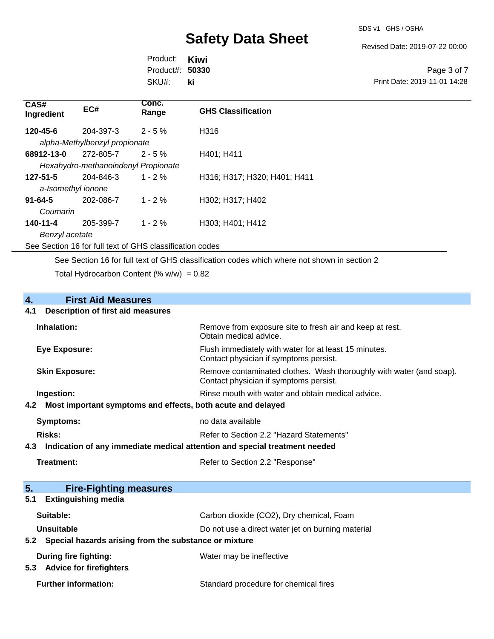Revised Date: 2019-07-22 00:00

Product: **Kiwi** SKU#: Product#: **50330 ki**

Page 3 of 7 Print Date: 2019-11-01 14:28

| CAS#<br>Ingredient | EC#                                                      | Conc.<br>Range | <b>GHS Classification</b>    |  |
|--------------------|----------------------------------------------------------|----------------|------------------------------|--|
| 120-45-6           | 204-397-3                                                | $2 - 5%$       | H316                         |  |
|                    | alpha-Methylbenzyl propionate                            |                |                              |  |
| 68912-13-0         | 272-805-7                                                | $2 - 5%$       | H401; H411                   |  |
|                    | Hexahydro-methanoindenyl Propionate                      |                |                              |  |
| $127 - 51 - 5$     | 204-846-3                                                | $1 - 2 \%$     | H316; H317; H320; H401; H411 |  |
| a-Isomethyl ionone |                                                          |                |                              |  |
| $91 - 64 - 5$      | 202-086-7                                                | $1 - 2\%$      | H302; H317; H402             |  |
| Coumarin           |                                                          |                |                              |  |
| 140-11-4           | 205-399-7                                                | $1 - 2 \%$     | H303; H401; H412             |  |
| Benzyl acetate     |                                                          |                |                              |  |
|                    | See Section 16 for full text of GHS classification codes |                |                              |  |

See Section 16 for full text of GHS classification codes which where not shown in section 2

Total Hydrocarbon Content (%  $w/w$ ) = 0.82

# **4. First Aid Measures**

#### **4.1 Description of first aid measures**

| Inhalation:                                                                   | Remove from exposure site to fresh air and keep at rest.<br>Obtain medical advice.                                     |  |
|-------------------------------------------------------------------------------|------------------------------------------------------------------------------------------------------------------------|--|
| Eye Exposure:                                                                 | Flush immediately with water for at least 15 minutes.<br>Contact physician if symptoms persist.                        |  |
| <b>Skin Exposure:</b>                                                         | Remove contaminated clothes. Wash thoroughly with water (and soap).<br>Contact physician if symptoms persist.          |  |
| Ingestion:<br>4.2 Most important symptoms and effects, both acute and delayed | Rinse mouth with water and obtain medical advice.                                                                      |  |
| <b>Symptoms:</b>                                                              | no data available                                                                                                      |  |
| Risks:<br>4.3                                                                 | Refer to Section 2.2 "Hazard Statements"<br>Indication of any immediate medical attention and special treatment needed |  |
|                                                                               |                                                                                                                        |  |

| Refer to Section 2.2 "Response" |
|---------------------------------|
|                                 |

| 5 <sub>1</sub><br><b>Fire-Fighting measures</b>                        |                                                   |
|------------------------------------------------------------------------|---------------------------------------------------|
| <b>Extinguishing media</b><br>5.1                                      |                                                   |
| Suitable:                                                              | Carbon dioxide (CO2), Dry chemical, Foam          |
| Unsuitable                                                             | Do not use a direct water jet on burning material |
| Special hazards arising from the substance or mixture<br>$5.2^{\circ}$ |                                                   |
| <b>During fire fighting:</b>                                           | Water may be ineffective                          |
| <b>Advice for firefighters</b><br>5.3                                  |                                                   |
| <b>Further information:</b>                                            | Standard procedure for chemical fires             |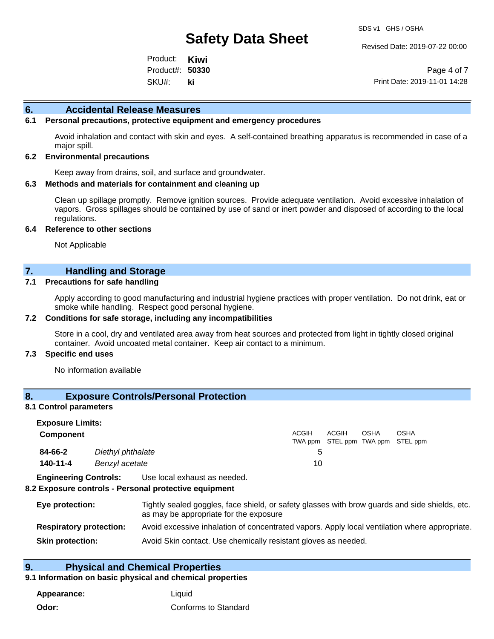Revised Date: 2019-07-22 00:00

Product: **Kiwi** SKU#: Product#: **50330 ki**

Page 4 of 7 Print Date: 2019-11-01 14:28

#### **6. Accidental Release Measures**

#### **6.1 Personal precautions, protective equipment and emergency procedures**

Avoid inhalation and contact with skin and eyes. A self-contained breathing apparatus is recommended in case of a major spill.

#### **6.2 Environmental precautions**

Keep away from drains, soil, and surface and groundwater.

#### **6.3 Methods and materials for containment and cleaning up**

Clean up spillage promptly. Remove ignition sources. Provide adequate ventilation. Avoid excessive inhalation of vapors. Gross spillages should be contained by use of sand or inert powder and disposed of according to the local regulations.

#### **6.4 Reference to other sections**

Not Applicable

#### **7. Handling and Storage**

#### **7.1 Precautions for safe handling**

Apply according to good manufacturing and industrial hygiene practices with proper ventilation. Do not drink, eat or smoke while handling. Respect good personal hygiene.

#### **7.2 Conditions for safe storage, including any incompatibilities**

Store in a cool, dry and ventilated area away from heat sources and protected from light in tightly closed original container. Avoid uncoated metal container. Keep air contact to a minimum.

#### **7.3 Specific end uses**

No information available

#### **8. Exposure Controls/Personal Protection**

#### **8.1 Control parameters**

| <b>Exposure Limits:</b> |                   |              |              |             |                                           |  |
|-------------------------|-------------------|--------------|--------------|-------------|-------------------------------------------|--|
| <b>Component</b>        |                   | <b>ACGIH</b> | <b>ACGIH</b> | <b>OSHA</b> | OSHA<br>TWA ppm STEL ppm TWA ppm STEL ppm |  |
| 84-66-2                 | Diethyl phthalate |              |              |             |                                           |  |
| 140-11-4                | Benzyl acetate    | 10           |              |             |                                           |  |
| _ _ _ _ _ _ _           | .                 |              |              |             |                                           |  |

**Engineering Controls:** Use local exhaust as needed.

#### **8.2 Exposure controls - Personal protective equipment**

| Eye protection:                | Tightly sealed goggles, face shield, or safety glasses with brow guards and side shields, etc.<br>as may be appropriate for the exposure |
|--------------------------------|------------------------------------------------------------------------------------------------------------------------------------------|
| <b>Respiratory protection:</b> | Avoid excessive inhalation of concentrated vapors. Apply local ventilation where appropriate.                                            |
| <b>Skin protection:</b>        | Avoid Skin contact. Use chemically resistant gloves as needed.                                                                           |

#### **9. Physical and Chemical Properties**

#### **9.1 Information on basic physical and chemical properties**

**Appearance:** Liquid **Odor:** Conforms to Standard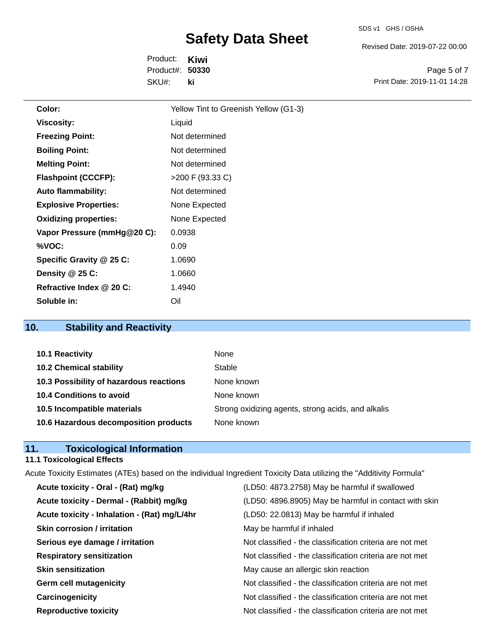SDS v1 GHS / OSHA

Revised Date: 2019-07-22 00:00

Product: **Kiwi** SKU#: Product#: **50330 ki**

Page 5 of 7 Print Date: 2019-11-01 14:28

| Color:                       | Yellow Tint to Greenish Yellow (G1-3) |
|------------------------------|---------------------------------------|
| <b>Viscosity:</b>            | Liquid                                |
| <b>Freezing Point:</b>       | Not determined                        |
| <b>Boiling Point:</b>        | Not determined                        |
| <b>Melting Point:</b>        | Not determined                        |
| <b>Flashpoint (CCCFP):</b>   | >200 F (93.33 C)                      |
| <b>Auto flammability:</b>    | Not determined                        |
| <b>Explosive Properties:</b> | None Expected                         |
| <b>Oxidizing properties:</b> | None Expected                         |
| Vapor Pressure (mmHg@20 C):  | 0.0938                                |
| %VOC:                        | 0.09                                  |
| Specific Gravity @ 25 C:     | 1.0690                                |
| Density $@25C$ :             | 1.0660                                |
| Refractive Index @ 20 C:     | 1.4940                                |
| Soluble in:                  | Oil                                   |

# **10. Stability and Reactivity**

| 10.1 Reactivity                         | None                                               |
|-----------------------------------------|----------------------------------------------------|
| <b>10.2 Chemical stability</b>          | Stable                                             |
| 10.3 Possibility of hazardous reactions | None known                                         |
| 10.4 Conditions to avoid                | None known                                         |
| 10.5 Incompatible materials             | Strong oxidizing agents, strong acids, and alkalis |
| 10.6 Hazardous decomposition products   | None known                                         |

## **11. Toxicological Information**

## **11.1 Toxicological Effects**

| Acute Toxicity Estimates (ATEs) based on the individual Ingredient Toxicity Data utilizing the "Additivity Formula" |                                                          |
|---------------------------------------------------------------------------------------------------------------------|----------------------------------------------------------|
| Acute toxicity - Oral - (Rat) mg/kg                                                                                 | (LD50: 4873.2758) May be harmful if swallowed            |
| Acute toxicity - Dermal - (Rabbit) mg/kg                                                                            | (LD50: 4896.8905) May be harmful in contact with skin    |
| Acute toxicity - Inhalation - (Rat) mg/L/4hr                                                                        | (LD50: 22.0813) May be harmful if inhaled                |
| <b>Skin corrosion / irritation</b>                                                                                  | May be harmful if inhaled                                |
| Serious eye damage / irritation                                                                                     | Not classified - the classification criteria are not met |
| <b>Respiratory sensitization</b>                                                                                    | Not classified - the classification criteria are not met |
| <b>Skin sensitization</b>                                                                                           | May cause an allergic skin reaction                      |
| <b>Germ cell mutagenicity</b>                                                                                       | Not classified - the classification criteria are not met |
| Carcinogenicity                                                                                                     | Not classified - the classification criteria are not met |
| <b>Reproductive toxicity</b>                                                                                        | Not classified - the classification criteria are not met |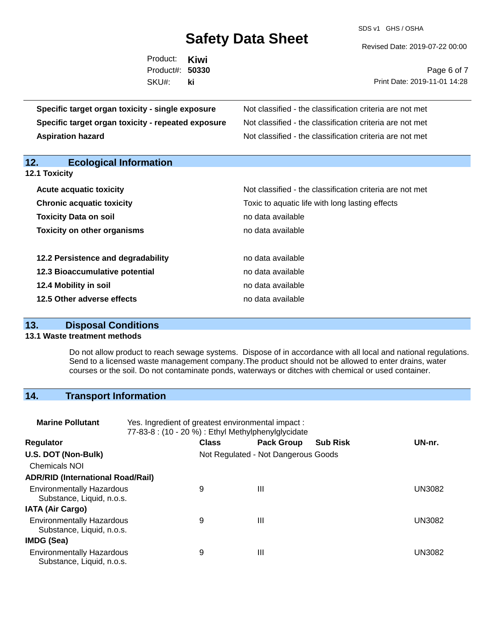SDS v1 GHS / OSHA

Revised Date: 2019-07-22 00:00

| Product: Kiwi   |    |  |
|-----------------|----|--|
| Product#: 50330 |    |  |
| SKU#:           | ki |  |
|                 |    |  |
|                 | .  |  |

Page 6 of 7 Print Date: 2019-11-01 14:28

| Specific target organ toxicity - single exposure   | Not classified - the classification criteria are not met |  |  |  |
|----------------------------------------------------|----------------------------------------------------------|--|--|--|
| Specific target organ toxicity - repeated exposure | Not classified - the classification criteria are not met |  |  |  |
| <b>Aspiration hazard</b>                           | Not classified - the classification criteria are not met |  |  |  |
|                                                    |                                                          |  |  |  |
| 12.<br><b>Ecological Information</b>               |                                                          |  |  |  |
| <b>12.1 Toxicity</b>                               |                                                          |  |  |  |
| <b>Acute acquatic toxicity</b>                     | Not classified - the classification criteria are not met |  |  |  |
| <b>Chronic acquatic toxicity</b>                   | Toxic to aquatic life with long lasting effects          |  |  |  |
| <b>Toxicity Data on soil</b>                       | no data available                                        |  |  |  |
| <b>Toxicity on other organisms</b>                 | no data available                                        |  |  |  |
|                                                    |                                                          |  |  |  |

| 12.2 Persistence and degradability | no data available |
|------------------------------------|-------------------|
| 12.3 Bioaccumulative potential     | no data available |
| 12.4 Mobility in soil              | no data available |
| 12.5 Other adverse effects         | no data available |

## **13. Disposal Conditions**

#### **13.1 Waste treatment methods**

Do not allow product to reach sewage systems. Dispose of in accordance with all local and national regulations. Send to a licensed waste management company.The product should not be allowed to enter drains, water courses or the soil. Do not contaminate ponds, waterways or ditches with chemical or used container.

## **14. Transport Information**

| <b>Marine Pollutant</b>                                       | Yes. Ingredient of greatest environmental impact:<br>77-83-8 : (10 - 20 %) : Ethyl Methylphenylglycidate |              |                                     |                 |               |
|---------------------------------------------------------------|----------------------------------------------------------------------------------------------------------|--------------|-------------------------------------|-----------------|---------------|
| <b>Regulator</b>                                              |                                                                                                          | <b>Class</b> | <b>Pack Group</b>                   | <b>Sub Risk</b> | UN-nr.        |
| U.S. DOT (Non-Bulk)                                           |                                                                                                          |              | Not Regulated - Not Dangerous Goods |                 |               |
| <b>Chemicals NOI</b>                                          |                                                                                                          |              |                                     |                 |               |
| <b>ADR/RID (International Road/Rail)</b>                      |                                                                                                          |              |                                     |                 |               |
| <b>Environmentally Hazardous</b><br>Substance, Liquid, n.o.s. |                                                                                                          | 9            | $\mathbf{III}$                      |                 | <b>UN3082</b> |
| <b>IATA (Air Cargo)</b>                                       |                                                                                                          |              |                                     |                 |               |
| <b>Environmentally Hazardous</b><br>Substance, Liquid, n.o.s. |                                                                                                          | 9            | Ш                                   |                 | <b>UN3082</b> |
| IMDG (Sea)                                                    |                                                                                                          |              |                                     |                 |               |
| <b>Environmentally Hazardous</b><br>Substance, Liquid, n.o.s. |                                                                                                          | 9            | $\mathbf{III}$                      |                 | UN3082        |